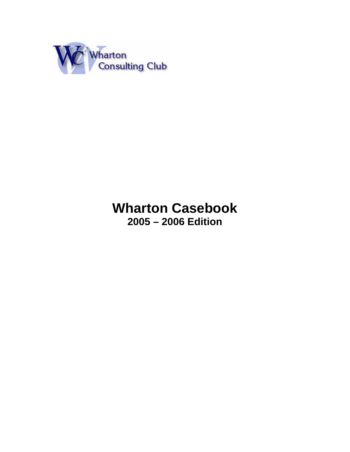

# **Wharton Casebook 2005 – 2006 Edition**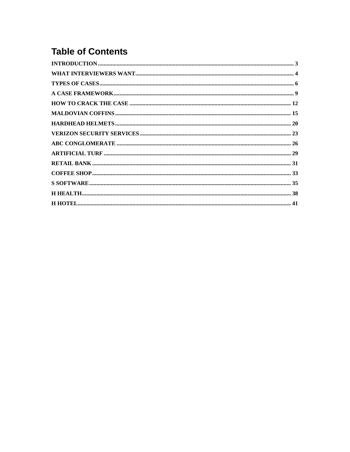## **Table of Contents**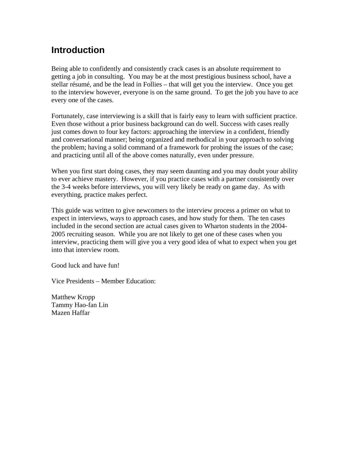## **Introduction**

Being able to confidently and consistently crack cases is an absolute requirement to getting a job in consulting. You may be at the most prestigious business school, have a stellar résumé, and be the lead in Follies – that will get you the interview. Once you get to the interview however, everyone is on the same ground. To get the job you have to ace every one of the cases.

Fortunately, case interviewing is a skill that is fairly easy to learn with sufficient practice. Even those without a prior business background can do well. Success with cases really just comes down to four key factors: approaching the interview in a confident, friendly and conversational manner; being organized and methodical in your approach to solving the problem; having a solid command of a framework for probing the issues of the case; and practicing until all of the above comes naturally, even under pressure.

When you first start doing cases, they may seem daunting and you may doubt your ability to ever achieve mastery. However, if you practice cases with a partner consistently over the 3-4 weeks before interviews, you will very likely be ready on game day. As with everything, practice makes perfect.

This guide was written to give newcomers to the interview process a primer on what to expect in interviews, ways to approach cases, and how study for them. The ten cases included in the second section are actual cases given to Wharton students in the 2004- 2005 recruiting season. While you are not likely to get one of these cases when you interview, practicing them will give you a very good idea of what to expect when you get into that interview room.

Good luck and have fun!

Vice Presidents – Member Education:

Matthew Kropp Tammy Hao-fan Lin Mazen Haffar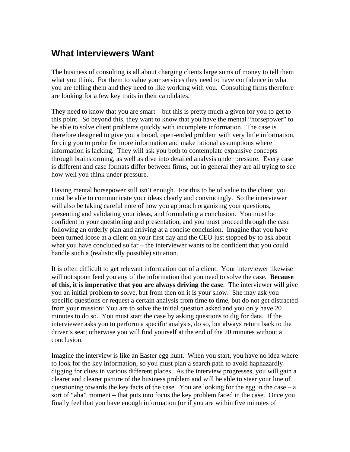## **What Interviewers Want**

The business of consulting is all about charging clients large sums of money to tell them what you think. For them to value your services they need to have confidence in what you are telling them and they need to like working with you. Consulting firms therefore are looking for a few key traits in their candidates.

They need to know that you are smart – but this is pretty much a given for you to get to this point. So beyond this, they want to know that you have the mental "horsepower" to be able to solve client problems quickly with incomplete information. The case is therefore designed to give you a broad, open-ended problem with very little information, forcing you to probe for more information and make rational assumptions where information is lacking. They will ask you both to contemplate expansive concepts through brainstorming, as well as dive into detailed analysis under pressure. Every case is different and case formats differ between firms, but in general they are all trying to see how well you think under pressure.

Having mental horsepower still isn't enough. For this to be of value to the client, you must be able to communicate your ideas clearly and convincingly. So the interviewer will also be taking careful note of how you approach organizing your questions, presenting and validating your ideas, and formulating a conclusion. You must be confident in your questioning and presentation, and you must proceed through the case following an orderly plan and arriving at a concise conclusion. Imagine that you have been turned loose at a client on your first day and the CEO just stopped by to ask about what you have concluded so far – the interviewer wants to be confident that you could handle such a (realistically possible) situation.

It is often difficult to get relevant information out of a client. Your interviewer likewise will not spoon feed you any of the information that you need to solve the case. **Because of this, it is imperative that you are always driving the case***.* The interviewer will give you an initial problem to solve, but from then on it is your show. She may ask you specific questions or request a certain analysis from time to time, but do not get distracted from your mission: You are to solve the initial question asked and you only have 20 minutes to do so. You must start the case by asking questions to dig for data. If the interviewer asks you to perform a specific analysis, do so, but always return back to the driver's seat; otherwise you will find yourself at the end of the 20 minutes without a conclusion.

Imagine the interview is like an Easter egg hunt. When you start, you have no idea where to look for the key information, so you must plan a search path to avoid haphazardly digging for clues in various different places. As the interview progresses, you will gain a clearer and clearer picture of the business problem and will be able to steer your line of questioning towards the key facts of the case. You are looking for the egg in the case  $-a$ sort of "aha" moment – that puts into focus the key problem faced in the case. Once you finally feel that you have enough information (or if you are within five minutes of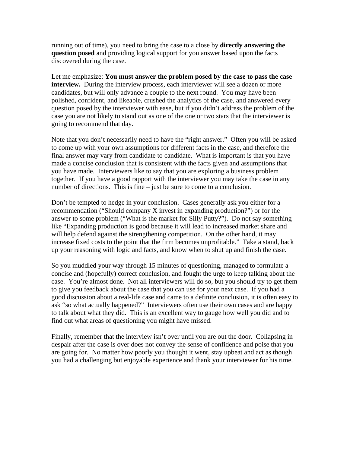running out of time), you need to bring the case to a close by **directly answering the question posed** and providing logical support for you answer based upon the facts discovered during the case.

Let me emphasize: **You must answer the problem posed by the case to pass the case interview.** During the interview process, each interviewer will see a dozen or more candidates, but will only advance a couple to the next round. You may have been polished, confident, and likeable, crushed the analytics of the case, and answered every question posed by the interviewer with ease, but if you didn't address the problem of the case you are not likely to stand out as one of the one or two stars that the interviewer is going to recommend that day.

Note that you don't necessarily need to have the "right answer." Often you will be asked to come up with your own assumptions for different facts in the case, and therefore the final answer may vary from candidate to candidate. What is important is that you have made a concise conclusion that is consistent with the facts given and assumptions that you have made. Interviewers like to say that you are exploring a business problem together. If you have a good rapport with the interviewer you may take the case in any number of directions. This is fine – just be sure to come to a conclusion.

Don't be tempted to hedge in your conclusion. Cases generally ask you either for a recommendation ("Should company X invest in expanding production?") or for the answer to some problem ("What is the market for Silly Putty?"). Do not say something like "Expanding production is good because it will lead to increased market share and will help defend against the strengthening competition. On the other hand, it may increase fixed costs to the point that the firm becomes unprofitable." Take a stand, back up your reasoning with logic and facts, and know when to shut up and finish the case.

So you muddled your way through 15 minutes of questioning, managed to formulate a concise and (hopefully) correct conclusion, and fought the urge to keep talking about the case. You're almost done. Not all interviewers will do so, but you should try to get them to give you feedback about the case that you can use for your next case. If you had a good discussion about a real-life case and came to a definite conclusion, it is often easy to ask "so what actually happened?" Interviewers often use their own cases and are happy to talk about what they did. This is an excellent way to gauge how well you did and to find out what areas of questioning you might have missed.

Finally, remember that the interview isn't over until you are out the door. Collapsing in despair after the case is over does not convey the sense of confidence and poise that you are going for. No matter how poorly you thought it went, stay upbeat and act as though you had a challenging but enjoyable experience and thank your interviewer for his time.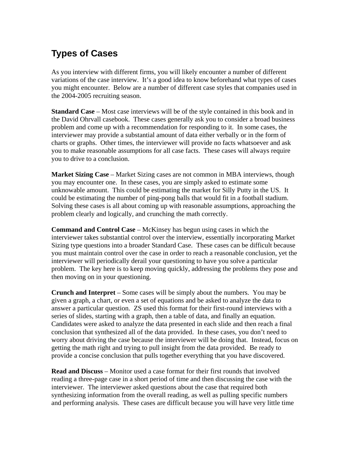## **Types of Cases**

As you interview with different firms, you will likely encounter a number of different variations of the case interview. It's a good idea to know beforehand what types of cases you might encounter. Below are a number of different case styles that companies used in the 2004-2005 recruiting season.

**Standard Case** – Most case interviews will be of the style contained in this book and in the David Ohrvall casebook. These cases generally ask you to consider a broad business problem and come up with a recommendation for responding to it. In some cases, the interviewer may provide a substantial amount of data either verbally or in the form of charts or graphs. Other times, the interviewer will provide no facts whatsoever and ask you to make reasonable assumptions for all case facts. These cases will always require you to drive to a conclusion.

**Market Sizing Case** – Market Sizing cases are not common in MBA interviews, though you may encounter one. In these cases, you are simply asked to estimate some unknowable amount. This could be estimating the market for Silly Putty in the US. It could be estimating the number of ping-pong balls that would fit in a football stadium. Solving these cases is all about coming up with reasonable assumptions, approaching the problem clearly and logically, and crunching the math correctly.

**Command and Control Case** – McKinsey has begun using cases in which the interviewer takes substantial control over the interview, essentially incorporating Market Sizing type questions into a broader Standard Case. These cases can be difficult because you must maintain control over the case in order to reach a reasonable conclusion, yet the interviewer will periodically derail your questioning to have you solve a particular problem. The key here is to keep moving quickly, addressing the problems they pose and then moving on in your questioning.

**Crunch and Interpret** – Some cases will be simply about the numbers. You may be given a graph, a chart, or even a set of equations and be asked to analyze the data to answer a particular question. ZS used this format for their first-round interviews with a series of slides, starting with a graph, then a table of data, and finally an equation. Candidates were asked to analyze the data presented in each slide and then reach a final conclusion that synthesized all of the data provided. In these cases, you don't need to worry about driving the case because the interviewer will be doing that. Instead, focus on getting the math right and trying to pull insight from the data provided. Be ready to provide a concise conclusion that pulls together everything that you have discovered.

**Read and Discuss** – Monitor used a case format for their first rounds that involved reading a three-page case in a short period of time and then discussing the case with the interviewer. The interviewer asked questions about the case that required both synthesizing information from the overall reading, as well as pulling specific numbers and performing analysis. These cases are difficult because you will have very little time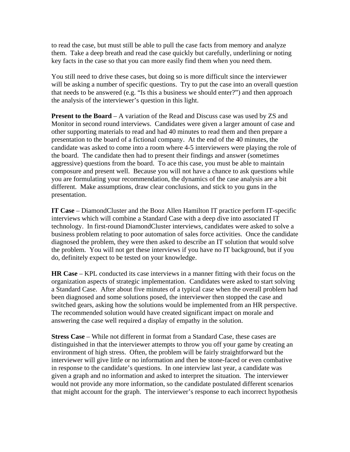to read the case, but must still be able to pull the case facts from memory and analyze them. Take a deep breath and read the case quickly but carefully, underlining or noting key facts in the case so that you can more easily find them when you need them.

You still need to drive these cases, but doing so is more difficult since the interviewer will be asking a number of specific questions. Try to put the case into an overall question that needs to be answered (e.g. "Is this a business we should enter?") and then approach the analysis of the interviewer's question in this light.

**Present to the Board** – A variation of the Read and Discuss case was used by ZS and Monitor in second round interviews. Candidates were given a larger amount of case and other supporting materials to read and had 40 minutes to read them and then prepare a presentation to the board of a fictional company. At the end of the 40 minutes, the candidate was asked to come into a room where 4-5 interviewers were playing the role of the board. The candidate then had to present their findings and answer (sometimes aggressive) questions from the board. To ace this case, you must be able to maintain composure and present well. Because you will not have a chance to ask questions while you are formulating your recommendation, the dynamics of the case analysis are a bit different. Make assumptions, draw clear conclusions, and stick to you guns in the presentation.

**IT Case** – DiamondCluster and the Booz Allen Hamilton IT practice perform IT-specific interviews which will combine a Standard Case with a deep dive into associated IT technology. In first-round DiamondCluster interviews, candidates were asked to solve a business problem relating to poor automation of sales force activities. Once the candidate diagnosed the problem, they were then asked to describe an IT solution that would solve the problem. You will not get these interviews if you have no IT background, but if you do, definitely expect to be tested on your knowledge.

**HR Case** – KPL conducted its case interviews in a manner fitting with their focus on the organization aspects of strategic implementation. Candidates were asked to start solving a Standard Case. After about five minutes of a typical case when the overall problem had been diagnosed and some solutions posed, the interviewer then stopped the case and switched gears, asking how the solutions would be implemented from an HR perspective. The recommended solution would have created significant impact on morale and answering the case well required a display of empathy in the solution.

**Stress Case** – While not different in format from a Standard Case, these cases are distinguished in that the interviewer attempts to throw you off your game by creating an environment of high stress. Often, the problem will be fairly straightforward but the interviewer will give little or no information and then be stone-faced or even combative in response to the candidate's questions. In one interview last year, a candidate was given a graph and no information and asked to interpret the situation. The interviewer would not provide any more information, so the candidate postulated different scenarios that might account for the graph. The interviewer's response to each incorrect hypothesis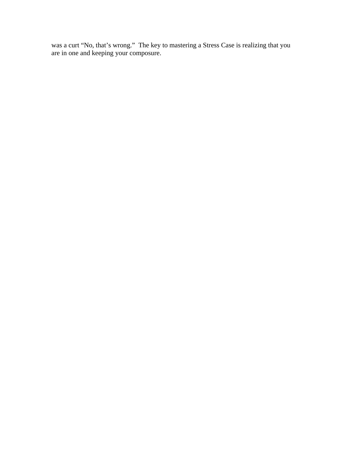was a curt "No, that's wrong." The key to mastering a Stress Case is realizing that you are in one and keeping your composure.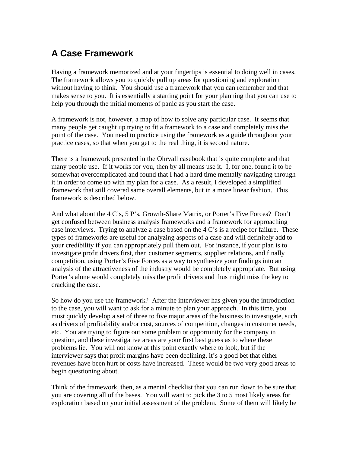## **A Case Framework**

Having a framework memorized and at your fingertips is essential to doing well in cases. The framework allows you to quickly pull up areas for questioning and exploration without having to think. You should use a framework that you can remember and that makes sense to you. It is essentially a starting point for your planning that you can use to help you through the initial moments of panic as you start the case.

A framework is not, however, a map of how to solve any particular case. It seems that many people get caught up trying to fit a framework to a case and completely miss the point of the case. You need to practice using the framework as a guide throughout your practice cases, so that when you get to the real thing, it is second nature.

There is a framework presented in the Ohrvall casebook that is quite complete and that many people use. If it works for you, then by all means use it. I, for one, found it to be somewhat overcomplicated and found that I had a hard time mentally navigating through it in order to come up with my plan for a case. As a result, I developed a simplified framework that still covered same overall elements, but in a more linear fashion. This framework is described below.

And what about the 4 C's, 5 P's, Growth-Share Matrix, or Porter's Five Forces? Don't get confused between business analysis frameworks and a framework for approaching case interviews. Trying to analyze a case based on the 4 C's is a recipe for failure. These types of frameworks are useful for analyzing aspects of a case and will definitely add to your credibility if you can appropriately pull them out. For instance, if your plan is to investigate profit drivers first, then customer segments, supplier relations, and finally competition, using Porter's Five Forces as a way to synthesize your findings into an analysis of the attractiveness of the industry would be completely appropriate. But using Porter's alone would completely miss the profit drivers and thus might miss the key to cracking the case.

So how do you use the framework? After the interviewer has given you the introduction to the case, you will want to ask for a minute to plan your approach. In this time, you must quickly develop a set of three to five major areas of the business to investigate, such as drivers of profitability and/or cost, sources of competition, changes in customer needs, etc. You are trying to figure out some problem or opportunity for the company in question, and these investigative areas are your first best guess as to where these problems lie. You will not know at this point exactly where to look, but if the interviewer says that profit margins have been declining, it's a good bet that either revenues have been hurt or costs have increased. These would be two very good areas to begin questioning about.

Think of the framework, then, as a mental checklist that you can run down to be sure that you are covering all of the bases. You will want to pick the 3 to 5 most likely areas for exploration based on your initial assessment of the problem. Some of them will likely be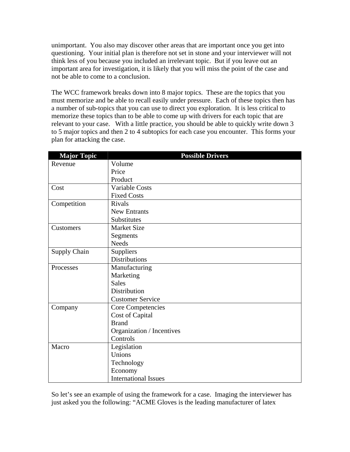unimportant. You also may discover other areas that are important once you get into questioning. Your initial plan is therefore not set in stone and your interviewer will not think less of you because you included an irrelevant topic. But if you leave out an important area for investigation, it is likely that you will miss the point of the case and not be able to come to a conclusion.

The WCC framework breaks down into 8 major topics. These are the topics that you must memorize and be able to recall easily under pressure. Each of these topics then has a number of sub-topics that you can use to direct you exploration. It is less critical to memorize these topics than to be able to come up with drivers for each topic that are relevant to your case. With a little practice, you should be able to quickly write down 3 to 5 major topics and then 2 to 4 subtopics for each case you encounter. This forms your plan for attacking the case.

| <b>Major Topic</b>           | <b>Possible Drivers</b>     |  |
|------------------------------|-----------------------------|--|
| Revenue                      | Volume                      |  |
|                              | Price                       |  |
|                              | Product                     |  |
| Cost                         | <b>Variable Costs</b>       |  |
|                              | <b>Fixed Costs</b>          |  |
| Competition                  | <b>Rivals</b>               |  |
| <b>New Entrants</b>          |                             |  |
|                              | Substitutes                 |  |
| Customers                    | <b>Market Size</b>          |  |
|                              | Segments                    |  |
|                              | <b>Needs</b>                |  |
| <b>Supply Chain</b>          | Suppliers                   |  |
|                              | <b>Distributions</b>        |  |
| Processes                    | Manufacturing               |  |
|                              | Marketing                   |  |
|                              | <b>Sales</b>                |  |
|                              | Distribution                |  |
|                              | <b>Customer Service</b>     |  |
| Core Competencies<br>Company |                             |  |
|                              | <b>Cost of Capital</b>      |  |
|                              | <b>Brand</b>                |  |
|                              | Organization / Incentives   |  |
|                              | Controls                    |  |
| Macro                        | Legislation                 |  |
|                              | Unions                      |  |
|                              | Technology                  |  |
|                              | Economy                     |  |
|                              | <b>International Issues</b> |  |

So let's see an example of using the framework for a case. Imaging the interviewer has just asked you the following: "ACME Gloves is the leading manufacturer of latex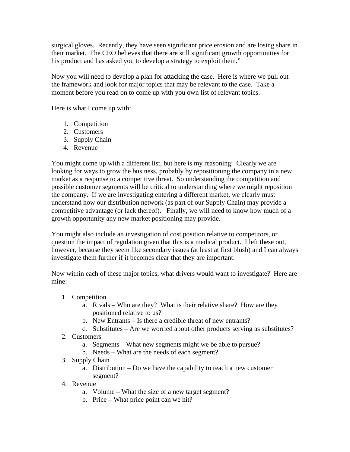surgical gloves. Recently, they have seen significant price erosion and are losing share in their market. The CEO believes that there are still significant growth opportunities for his product and has asked you to develop a strategy to exploit them."

Now you will need to develop a plan for attacking the case. Here is where we pull out the framework and look for major topics that may be relevant to the case. Take a moment before you read on to come up with you own list of relevant topics.

Here is what I come up with:

- 1. Competition
- 2. Customers
- 3. Supply Chain
- 4. Revenue

You might come up with a different list, but here is my reasoning: Clearly we are looking for ways to grow the business, probably by repositioning the company in a new market as a response to a competitive threat. So understanding the competition and possible customer segments will be critical to understanding where we might reposition the company. If we are investigating entering a different market, we clearly must understand how our distribution network (as part of our Supply Chain) may provide a competitive advantage (or lack thereof). Finally, we will need to know how much of a growth opportunity any new market positioning may provide.

You might also include an investigation of cost position relative to competitors, or question the impact of regulation given that this is a medical product. I left these out, however, because they seem like secondary issues (at least at first blush) and I can always investigate them further if it becomes clear that they are important.

Now within each of these major topics, what drivers would want to investigate? Here are mine:

- 1. Competition
	- a. Rivals Who are they? What is their relative share? How are they positioned relative to us?
	- b. New Entrants Is there a credible threat of new entrants?
	- c. Substitutes Are we worried about other products serving as substitutes?
- 2. Customers
	- a. Segments What new segments might we be able to pursue?
	- b. Needs What are the needs of each segment?
- 3. Supply Chain
	- a. Distribution Do we have the capability to reach a new customer segment?
- 4. Revenue
	- a. Volume What the size of a new target segment?
	- b. Price What price point can we hit?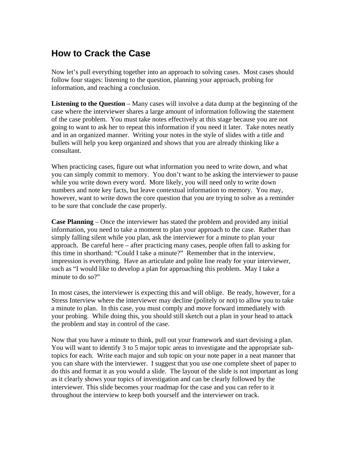## **How to Crack the Case**

Now let's pull everything together into an approach to solving cases. Most cases should follow four stages: listening to the question, planning your approach, probing for information, and reaching a conclusion.

**Listening to the Question** – Many cases will involve a data dump at the beginning of the case where the interviewer shares a large amount of information following the statement of the case problem. You must take notes effectively at this stage because you are not going to want to ask her to repeat this information if you need it later. Take notes neatly and in an organized manner. Writing your notes in the style of slides with a title and bullets will help you keep organized and shows that you are already thinking like a consultant.

When practicing cases, figure out what information you need to write down, and what you can simply commit to memory. You don't want to be asking the interviewer to pause while you write down every word. More likely, you will need only to write down numbers and note key facts, but leave contextual information to memory. You may, however, want to write down the core question that you are trying to solve as a reminder to be sure that conclude the case properly.

**Case Planning** – Once the interviewer has stated the problem and provided any initial information, you need to take a moment to plan your approach to the case. Rather than simply falling silent while you plan, ask the interviewer for a minute to plan your approach. Be careful here – after practicing many cases, people often fall to asking for this time in shorthand: "Could I take a minute?" Remember that in the interview, impression is everything. Have an articulate and polite line ready for your interviewer, such as "I would like to develop a plan for approaching this problem. May I take a minute to do so?"

In most cases, the interviewer is expecting this and will oblige. Be ready, however, for a Stress Interview where the interviewer may decline (politely or not) to allow you to take a minute to plan. In this case, you must comply and move forward immediately with your probing. While doing this, you should still sketch out a plan in your head to attack the problem and stay in control of the case.

Now that you have a minute to think, pull out your framework and start devising a plan. You will want to identify 3 to 5 major topic areas to investigate and the appropriate subtopics for each. Write each major and sub topic on your note paper in a neat manner that you can share with the interviewer. I suggest that you use one complete sheet of paper to do this and format it as you would a slide. The layout of the slide is not important as long as it clearly shows your topics of investigation and can be clearly followed by the interviewer. This slide becomes your roadmap for the case and you can refer to it throughout the interview to keep both yourself and the interviewer on track.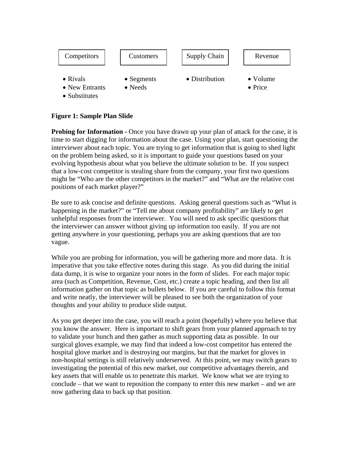

### **Figure 1: Sample Plan Slide**

**Probing for Information -** Once you have drawn up your plan of attack for the case, it is time to start digging for information about the case. Using your plan, start questioning the interviewer about each topic. You are trying to get information that is going to shed light on the problem being asked, so it is important to guide your questions based on your evolving hypothesis about what you believe the ultimate solution to be. If you suspect that a low-cost competitor is stealing share from the company, your first two questions might be "Who are the other competitors in the market?" and "What are the relative cost positions of each market player?"

Be sure to ask concise and definite questions. Asking general questions such as "What is happening in the market?" or "Tell me about company profitability" are likely to get unhelpful responses from the interviewer. You will need to ask specific questions that the interviewer can answer without giving up information too easily. If you are not getting anywhere in your questioning, perhaps you are asking questions that are too vague.

While you are probing for information, you will be gathering more and more data. It is imperative that you take effective notes during this stage. As you did during the initial data dump, it is wise to organize your notes in the form of slides. For each major topic area (such as Competition, Revenue, Cost, etc.) create a topic heading, and then list all information gather on that topic as bullets below. If you are careful to follow this format and write neatly, the interviewer will be pleased to see both the organization of your thoughts and your ability to produce slide output.

As you get deeper into the case, you will reach a point (hopefully) where you believe that you know the answer. Here is important to shift gears from your planned approach to try to validate your hunch and then gather as much supporting data as possible. In our surgical gloves example, we may find that indeed a low-cost competitor has entered the hospital glove market and is destroying our margins, but that the market for gloves in non-hospital settings is still relatively underserved. At this point, we may switch gears to investigating the potential of this new market, our competitive advantages therein, and key assets that will enable us to penetrate this market. We know what we are trying to conclude – that we want to reposition the company to enter this new market – and we are now gathering data to back up that position.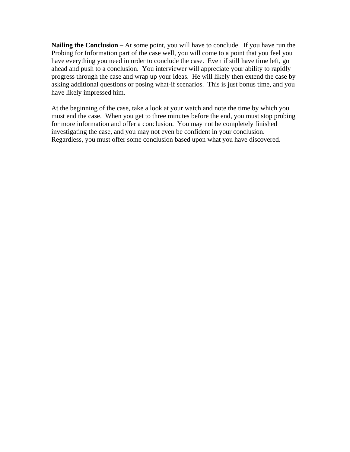**Nailing the Conclusion –** At some point, you will have to conclude. If you have run the Probing for Information part of the case well, you will come to a point that you feel you have everything you need in order to conclude the case. Even if still have time left, go ahead and push to a conclusion. You interviewer will appreciate your ability to rapidly progress through the case and wrap up your ideas. He will likely then extend the case by asking additional questions or posing what-if scenarios. This is just bonus time, and you have likely impressed him.

At the beginning of the case, take a look at your watch and note the time by which you must end the case. When you get to three minutes before the end, you must stop probing for more information and offer a conclusion. You may not be completely finished investigating the case, and you may not even be confident in your conclusion. Regardless, you must offer some conclusion based upon what you have discovered.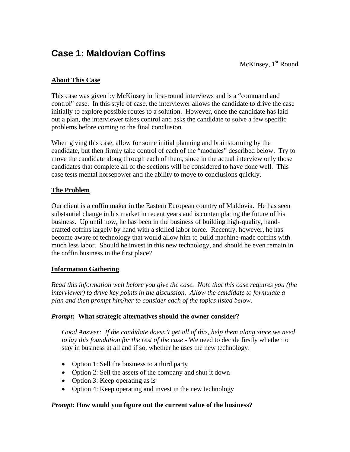## **Case 1: Maldovian Coffins**

McKinsey,  $1<sup>st</sup>$  Round

### **About This Case**

This case was given by McKinsey in first-round interviews and is a "command and control" case. In this style of case, the interviewer allows the candidate to drive the case initially to explore possible routes to a solution. However, once the candidate has laid out a plan, the interviewer takes control and asks the candidate to solve a few specific problems before coming to the final conclusion.

When giving this case, allow for some initial planning and brainstorming by the candidate, but then firmly take control of each of the "modules" described below. Try to move the candidate along through each of them, since in the actual interview only those candidates that complete all of the sections will be considered to have done well. This case tests mental horsepower and the ability to move to conclusions quickly.

### **The Problem**

Our client is a coffin maker in the Eastern European country of Maldovia. He has seen substantial change in his market in recent years and is contemplating the future of his business. Up until now, he has been in the business of building high-quality, handcrafted coffins largely by hand with a skilled labor force. Recently, however, he has become aware of technology that would allow him to build machine-made coffins with much less labor. Should he invest in this new technology, and should he even remain in the coffin business in the first place?

### **Information Gathering**

*Read this information well before you give the case. Note that this case requires you (the interviewer) to drive key points in the discussion. Allow the candidate to formulate a plan and then prompt him/her to consider each of the topics listed below.* 

### *Prompt***: What strategic alternatives should the owner consider?**

*Good Answer: If the candidate doesn't get all of this, help them along since we need to lay this foundation for the rest of the case -* We need to decide firstly whether to stay in business at all and if so, whether he uses the new technology:

- Option 1: Sell the business to a third party
- Option 2: Sell the assets of the company and shut it down
- Option 3: Keep operating as is
- Option 4: Keep operating and invest in the new technology

### *Prompt***: How would you figure out the current value of the business?**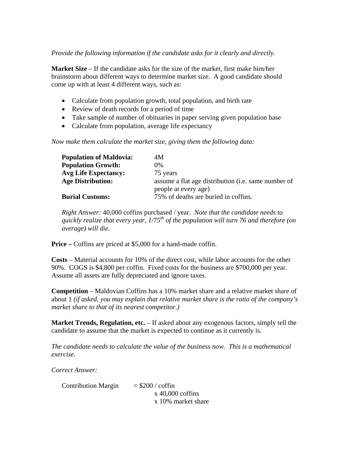#### *Provide the following information if the candidate asks for it clearly and directly.*

**Market Size** – If the candidate asks for the size of the market, first make him/her brainstorm about different ways to determine market size. A good candidate should come up with at least 4 different ways, such as:

- Calculate from population growth, total population, and birth rate
- Review of death records for a period of time
- Take sample of number of obituaries in paper serving given population base
- Calculate from population, average life expectancy

*Now make them calculate the market size, giving them the following data:* 

| <b>Population of Maldovia:</b> | 4M                                                          |
|--------------------------------|-------------------------------------------------------------|
| <b>Population Growth:</b>      | $0\%$                                                       |
| <b>Avg Life Expectancy:</b>    | 75 years                                                    |
| <b>Age Distribution:</b>       | assume a flat age distribution ( <i>i.e.</i> same number of |
|                                | people at every age)                                        |
| <b>Burial Customs:</b>         | 75% of deaths are buried in coffins.                        |

*Right Answer:* 40,000 coffins purchased / year. *Note that the candidate needs to quickly realize that every year, 1/75th of the population will turn 76 and therefore (on average) will die.* 

**Price** – Coffins are priced at \$5,000 for a hand-made coffin.

**Costs** – Material accounts for 10% of the direct cost, while labor accounts for the other 90%. COGS is \$4,800 per coffin. Fixed costs for the business are \$700,000 per year. Assume all assets are fully depreciated and ignore taxes.

**Competition** – Maldovian Coffins has a 10% market share and a relative market share of about 1 *(if asked, you may explain that relative market share is the ratio of the company's market share to that of its nearest competitor.)*

**Market Trends, Regulation, etc.** – If asked about any exogenous factors, simply tell the candidate to assume that the market is expected to continue as it currently is.

*The candidate needs to calculate the value of the business now. This is a mathematical exercise.* 

*Correct Answer:* 

Contribution Margin  $= $200 / \text{coff}$  x 40,000 coffins x 10% market share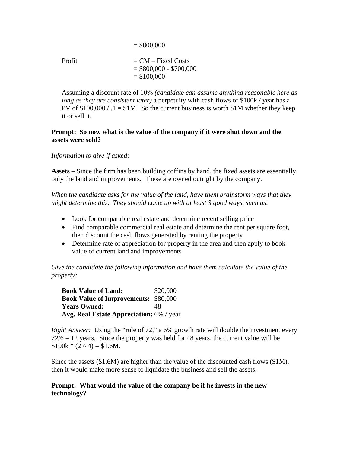$Profit = CM - Fixed Costs$  $= $800,000 - $700,000$  $= $100,000$ 

 $= $800,000$ 

Assuming a discount rate of 10% *(candidate can assume anything reasonable here as long as they are consistent later)* a perpetuity with cash flows of \$100k / year has a PV of  $$100,000 / .1 = $1M$ . So the current business is worth  $$1M$  whether they keep it or sell it.

#### **Prompt: So now what is the value of the company if it were shut down and the assets were sold?**

*Information to give if asked:* 

**Assets** – Since the firm has been building coffins by hand, the fixed assets are essentially only the land and improvements. These are owned outright by the company.

*When the candidate asks for the value of the land, have them brainstorm ways that they might determine this. They should come up with at least 3 good ways, such as:* 

- Look for comparable real estate and determine recent selling price
- Find comparable commercial real estate and determine the rent per square foot, then discount the cash flows generated by renting the property
- Determine rate of appreciation for property in the area and then apply to book value of current land and improvements

*Give the candidate the following information and have them calculate the value of the property:* 

**Book Value of Land:** \$20,000 **Book Value of Improvements:** \$80,000 Years Owned: 48 **Avg. Real Estate Appreciation:** 6% / year

*Right Answer:* Using the "rule of 72," a 6% growth rate will double the investment every  $72/6 = 12$  years. Since the property was held for 48 years, the current value will be  $$100k * (2^0 4) = $1.6M$ .

Since the assets (\$1.6M) are higher than the value of the discounted cash flows (\$1M), then it would make more sense to liquidate the business and sell the assets.

**Prompt: What would the value of the company be if he invests in the new technology?**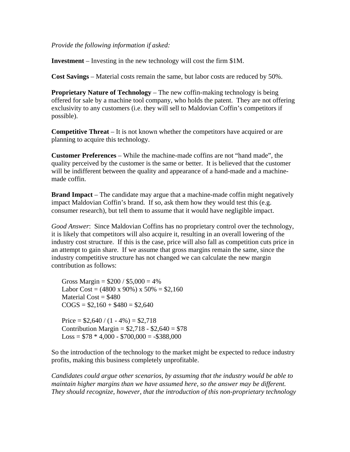*Provide the following information if asked:* 

**Investment** – Investing in the new technology will cost the firm \$1M.

**Cost Savings** – Material costs remain the same, but labor costs are reduced by 50%.

**Proprietary Nature of Technology** – The new coffin-making technology is being offered for sale by a machine tool company, who holds the patent. They are not offering exclusivity to any customers (i.e. they will sell to Maldovian Coffin's competitors if possible).

**Competitive Threat** – It is not known whether the competitors have acquired or are planning to acquire this technology.

**Customer Preferences** – While the machine-made coffins are not "hand made", the quality perceived by the customer is the same or better. It is believed that the customer will be indifferent between the quality and appearance of a hand-made and a machinemade coffin.

**Brand Impact** – The candidate may argue that a machine-made coffin might negatively impact Maldovian Coffin's brand. If so, ask them how they would test this (e.g. consumer research), but tell them to assume that it would have negligible impact.

*Good Answer*: Since Maldovian Coffins has no proprietary control over the technology, it is likely that competitors will also acquire it, resulting in an overall lowering of the industry cost structure. If this is the case, price will also fall as competition cuts price in an attempt to gain share. If we assume that gross margins remain the same, since the industry competitive structure has not changed we can calculate the new margin contribution as follows:

Gross Margin =  $$200 / $5,000 = 4\%$ Labor Cost =  $(4800 \times 90\%) \times 50\% = $2,160$ Material  $Cost = $480$  $COGS = $2,160 + $480 = $2,640$ 

Price =  $$2,640 / (1 - 4\%) = $2,718$ Contribution Margin =  $$2,718 - $2,640 = $78$  $Loss = $78 * 4,000 - $700,000 = - $388,000$ 

So the introduction of the technology to the market might be expected to reduce industry profits, making this business completely unprofitable.

*Candidates could argue other scenarios, by assuming that the industry would be able to maintain higher margins than we have assumed here, so the answer may be different. They should recognize, however, that the introduction of this non-proprietary technology*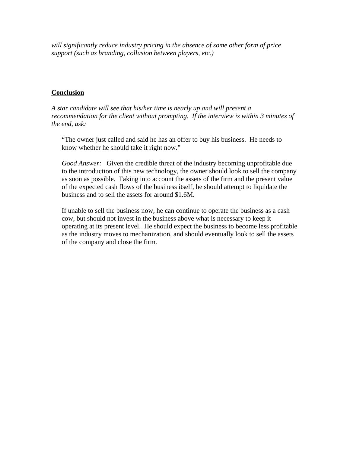*will significantly reduce industry pricing in the absence of some other form of price support (such as branding, collusion between players, etc.)* 

### **Conclusion**

*A star candidate will see that his/her time is nearly up and will present a recommendation for the client without prompting. If the interview is within 3 minutes of the end, ask:* 

"The owner just called and said he has an offer to buy his business. He needs to know whether he should take it right now."

*Good Answer:* Given the credible threat of the industry becoming unprofitable due to the introduction of this new technology, the owner should look to sell the company as soon as possible. Taking into account the assets of the firm and the present value of the expected cash flows of the business itself, he should attempt to liquidate the business and to sell the assets for around \$1.6M.

If unable to sell the business now, he can continue to operate the business as a cash cow, but should not invest in the business above what is necessary to keep it operating at its present level. He should expect the business to become less profitable as the industry moves to mechanization, and should eventually look to sell the assets of the company and close the firm.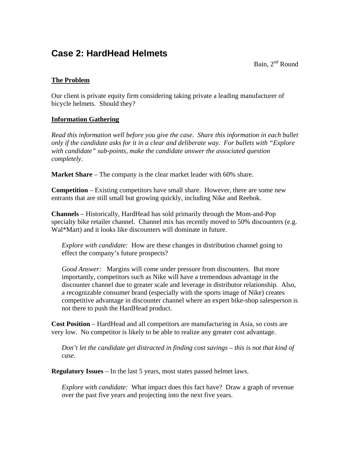## **Case 2: HardHead Helmets**

Bain,  $2^{nd}$  Round

### **The Problem**

Our client is private equity firm considering taking private a leading manufacturer of bicycle helmets. Should they?

### **Information Gathering**

*Read this information well before you give the case. Share this information in each bullet only if the candidate asks for it in a clear and deliberate way. For bullets with "Explore with candidate" sub-points, make the candidate answer the associated question completely.* 

**Market Share** – The company is the clear market leader with 60% share.

**Competition** – Existing competitors have small share. However, there are some new entrants that are still small but growing quickly, including Nike and Reebok.

**Channels** – Historically, HardHead has sold primarily through the Mom-and-Pop specialty bike retailer channel. Channel mix has recently moved to 50% discounters (e.g. Wal\*Mart) and it looks like discounters will dominate in future.

*Explore with candidate:* How are these changes in distribution channel going to effect the company's future prospects?

*Good Answer:* Margins will come under pressure from discounters. But more importantly, competitors such as Nike will have a tremendous advantage in the discounter channel due to greater scale and leverage in distributor relationship. Also, a recognizable consumer brand (especially with the sports image of Nike) creates competitive advantage in discounter channel where an expert bike-shop salesperson is not there to push the HardHead product.

**Cost Position** – HardHead and all competitors are manufacturing in Asia, so costs are very low. No competitor is likely to be able to realize any greater cost advantage.

*Don't let the candidate get distracted in finding cost savings – this is not that kind of case.* 

**Regulatory Issues** – In the last 5 years, most states passed helmet laws.

*Explore with candidate:* What impact does this fact have? Draw a graph of revenue over the past five years and projecting into the next five years.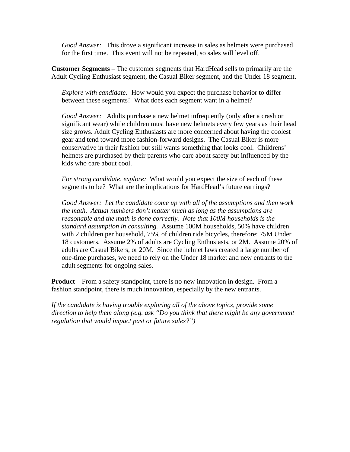*Good Answer:* This drove a significant increase in sales as helmets were purchased for the first time. This event will not be repeated, so sales will level off.

**Customer Segments** – The customer segments that HardHead sells to primarily are the Adult Cycling Enthusiast segment, the Casual Biker segment, and the Under 18 segment.

*Explore with candidate:* How would you expect the purchase behavior to differ between these segments? What does each segment want in a helmet?

*Good Answer:* Adults purchase a new helmet infrequently (only after a crash or significant wear) while children must have new helmets every few years as their head size grows. Adult Cycling Enthusiasts are more concerned about having the coolest gear and tend toward more fashion-forward designs. The Casual Biker is more conservative in their fashion but still wants something that looks cool. Childrens' helmets are purchased by their parents who care about safety but influenced by the kids who care about cool.

*For strong candidate, explore:* What would you expect the size of each of these segments to be? What are the implications for HardHead's future earnings?

*Good Answer: Let the candidate come up with all of the assumptions and then work the math. Actual numbers don't matter much as long as the assumptions are reasonable and the math is done correctly. Note that 100M households is the standard assumption in consulting.* Assume 100M households, 50% have children with 2 children per household, 75% of children ride bicycles, therefore: 75M Under 18 customers. Assume 2% of adults are Cycling Enthusiasts, or 2M. Assume 20% of adults are Casual Bikers, or 20M. Since the helmet laws created a large number of one-time purchases, we need to rely on the Under 18 market and new entrants to the adult segments for ongoing sales.

**Product** – From a safety standpoint, there is no new innovation in design. From a fashion standpoint, there is much innovation, especially by the new entrants.

*If the candidate is having trouble exploring all of the above topics, provide some direction to help them along (e.g. ask "Do you think that there might be any government regulation that would impact past or future sales?")*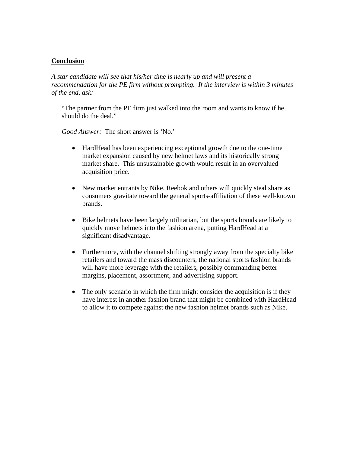### **Conclusion**

*A star candidate will see that his/her time is nearly up and will present a recommendation for the PE firm without prompting. If the interview is within 3 minutes of the end, ask:* 

"The partner from the PE firm just walked into the room and wants to know if he should do the deal."

*Good Answer:* The short answer is 'No.'

- HardHead has been experiencing exceptional growth due to the one-time market expansion caused by new helmet laws and its historically strong market share. This unsustainable growth would result in an overvalued acquisition price.
- New market entrants by Nike, Reebok and others will quickly steal share as consumers gravitate toward the general sports-affiliation of these well-known brands.
- Bike helmets have been largely utilitarian, but the sports brands are likely to quickly move helmets into the fashion arena, putting HardHead at a significant disadvantage.
- Furthermore, with the channel shifting strongly away from the specialty bike retailers and toward the mass discounters, the national sports fashion brands will have more leverage with the retailers, possibly commanding better margins, placement, assortment, and advertising support.
- The only scenario in which the firm might consider the acquisition is if they have interest in another fashion brand that might be combined with HardHead to allow it to compete against the new fashion helmet brands such as Nike.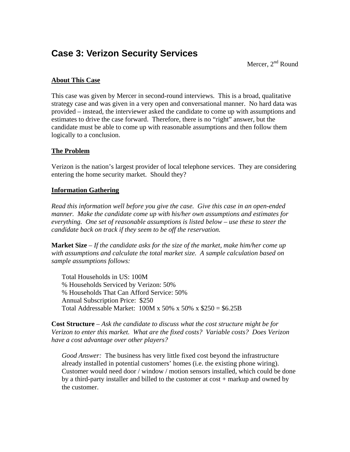## **Case 3: Verizon Security Services**

Mercer,  $2^{nd}$  Round

### **About This Case**

This case was given by Mercer in second-round interviews. This is a broad, qualitative strategy case and was given in a very open and conversational manner. No hard data was provided – instead, the interviewer asked the candidate to come up with assumptions and estimates to drive the case forward. Therefore, there is no "right" answer, but the candidate must be able to come up with reasonable assumptions and then follow them logically to a conclusion.

### **The Problem**

Verizon is the nation's largest provider of local telephone services. They are considering entering the home security market. Should they?

### **Information Gathering**

*Read this information well before you give the case. Give this case in an open-ended manner. Make the candidate come up with his/her own assumptions and estimates for everything. One set of reasonable assumptions is listed below – use these to steer the candidate back on track if they seem to be off the reservation.* 

**Market Size** – *If the candidate asks for the size of the market, make him/her come up with assumptions and calculate the total market size. A sample calculation based on sample assumptions follows:*

Total Households in US: 100M % Households Serviced by Verizon: 50% % Households That Can Afford Service: 50% Annual Subscription Price: \$250 Total Addressable Market: 100M x 50% x 50% x \$250 = \$6.25B

**Cost Structure** – *Ask the candidate to discuss what the cost structure might be for Verizon to enter this market. What are the fixed costs? Variable costs? Does Verizon have a cost advantage over other players?* 

*Good Answer:* The business has very little fixed cost beyond the infrastructure already installed in potential customers' homes (i.e. the existing phone wiring). Customer would need door / window / motion sensors installed, which could be done by a third-party installer and billed to the customer at cost + markup and owned by the customer.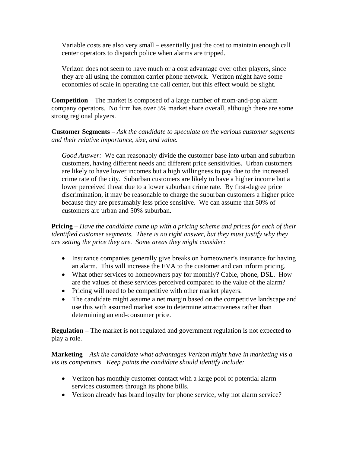Variable costs are also very small – essentially just the cost to maintain enough call center operators to dispatch police when alarms are tripped.

Verizon does not seem to have much or a cost advantage over other players, since they are all using the common carrier phone network. Verizon might have some economies of scale in operating the call center, but this effect would be slight.

**Competition** – The market is composed of a large number of mom-and-pop alarm company operators. No firm has over 5% market share overall, although there are some strong regional players.

**Customer Segments** – *Ask the candidate to speculate on the various customer segments and their relative importance, size, and value.* 

*Good Answer:* We can reasonably divide the customer base into urban and suburban customers, having different needs and different price sensitivities. Urban customers are likely to have lower incomes but a high willingness to pay due to the increased crime rate of the city. Suburban customers are likely to have a higher income but a lower perceived threat due to a lower suburban crime rate. By first-degree price discrimination, it may be reasonable to charge the suburban customers a higher price because they are presumably less price sensitive. We can assume that 50% of customers are urban and 50% suburban.

**Pricing** – *Have the candidate come up with a pricing scheme and prices for each of their identified customer segments. There is no right answer, but they must justify why they are setting the price they are. Some areas they might consider:* 

- Insurance companies generally give breaks on homeowner's insurance for having an alarm. This will increase the EVA to the customer and can inform pricing.
- What other services to homeowners pay for monthly? Cable, phone, DSL. How are the values of these services perceived compared to the value of the alarm?
- Pricing will need to be competitive with other market players.
- The candidate might assume a net margin based on the competitive landscape and use this with assumed market size to determine attractiveness rather than determining an end-consumer price.

**Regulation** – The market is not regulated and government regulation is not expected to play a role.

**Marketing** – *Ask the candidate what advantages Verizon might have in marketing vis a vis its competitors. Keep points the candidate should identify include:* 

- Verizon has monthly customer contact with a large pool of potential alarm services customers through its phone bills.
- Verizon already has brand loyalty for phone service, why not alarm service?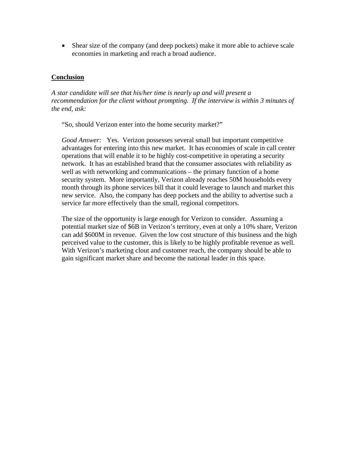• Shear size of the company (and deep pockets) make it more able to achieve scale economies in marketing and reach a broad audience.

#### **Conclusion**

*A star candidate will see that his/her time is nearly up and will present a recommendation for the client without prompting. If the interview is within 3 minutes of the end, ask:* 

"So, should Verizon enter into the home security market?"

*Good Answer:* Yes. Verizon possesses several small but important competitive advantages for entering into this new market. It has economies of scale in call center operations that will enable it to be highly cost-competitive in operating a security network. It has an established brand that the consumer associates with reliability as well as with networking and communications – the primary function of a home security system. More importantly, Verizon already reaches 50M households every month through its phone services bill that it could leverage to launch and market this new service. Also, the company has deep pockets and the ability to advertise such a service far more effectively than the small, regional competitors.

The size of the opportunity is large enough for Verizon to consider. Assuming a potential market size of \$6B in Verizon's territory, even at only a 10% share, Verizon can add \$600M in revenue. Given the low cost structure of this business and the high perceived value to the customer, this is likely to be highly profitable revenue as well. With Verizon's marketing clout and customer reach, the company should be able to gain significant market share and become the national leader in this space.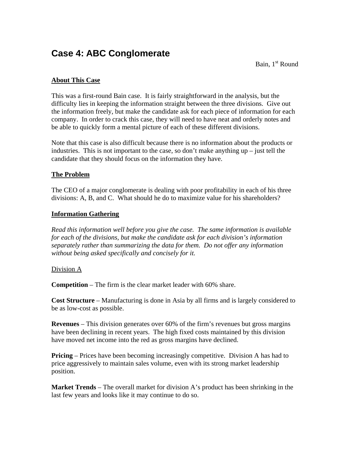## **Case 4: ABC Conglomerate**

Bain,  $1<sup>st</sup>$  Round

### **About This Case**

This was a first-round Bain case. It is fairly straightforward in the analysis, but the difficulty lies in keeping the information straight between the three divisions. Give out the information freely, but make the candidate ask for each piece of information for each company. In order to crack this case, they will need to have neat and orderly notes and be able to quickly form a mental picture of each of these different divisions.

Note that this case is also difficult because there is no information about the products or industries. This is not important to the case, so don't make anything up – just tell the candidate that they should focus on the information they have.

#### **The Problem**

The CEO of a major conglomerate is dealing with poor profitability in each of his three divisions: A, B, and C. What should he do to maximize value for his shareholders?

#### **Information Gathering**

*Read this information well before you give the case. The same information is available for each of the divisions, but make the candidate ask for each division's information separately rather than summarizing the data for them. Do not offer any information without being asked specifically and concisely for it.* 

#### Division A

**Competition** – The firm is the clear market leader with 60% share.

**Cost Structure** – Manufacturing is done in Asia by all firms and is largely considered to be as low-cost as possible.

**Revenues** – This division generates over 60% of the firm's revenues but gross margins have been declining in recent years. The high fixed costs maintained by this division have moved net income into the red as gross margins have declined.

**Pricing** – Prices have been becoming increasingly competitive. Division A has had to price aggressively to maintain sales volume, even with its strong market leadership position.

**Market Trends** – The overall market for division A's product has been shrinking in the last few years and looks like it may continue to do so.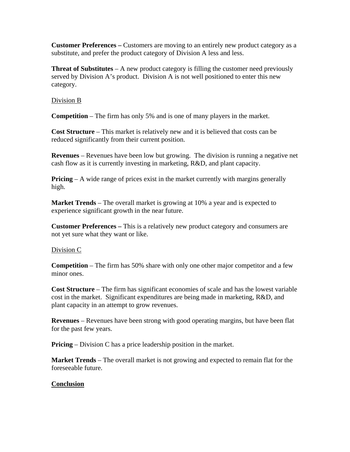**Customer Preferences –** Customers are moving to an entirely new product category as a substitute, and prefer the product category of Division A less and less.

**Threat of Substitutes** – A new product category is filling the customer need previously served by Division A's product. Division A is not well positioned to enter this new category.

#### Division B

**Competition** – The firm has only 5% and is one of many players in the market.

**Cost Structure** – This market is relatively new and it is believed that costs can be reduced significantly from their current position.

**Revenues** – Revenues have been low but growing. The division is running a negative net cash flow as it is currently investing in marketing, R&D, and plant capacity.

**Pricing** – A wide range of prices exist in the market currently with margins generally high.

**Market Trends** – The overall market is growing at 10% a year and is expected to experience significant growth in the near future.

**Customer Preferences –** This is a relatively new product category and consumers are not yet sure what they want or like.

### Division C

**Competition** – The firm has 50% share with only one other major competitor and a few minor ones.

**Cost Structure** – The firm has significant economies of scale and has the lowest variable cost in the market. Significant expenditures are being made in marketing, R&D, and plant capacity in an attempt to grow revenues.

**Revenues** – Revenues have been strong with good operating margins, but have been flat for the past few years.

**Pricing** – Division C has a price leadership position in the market.

**Market Trends** – The overall market is not growing and expected to remain flat for the foreseeable future.

### **Conclusion**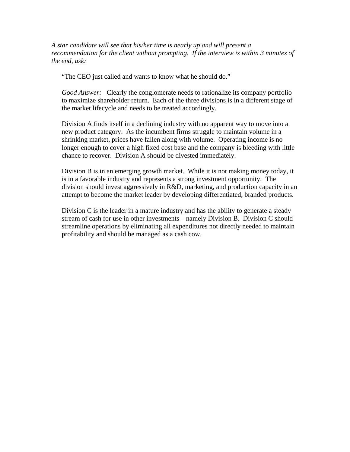*A star candidate will see that his/her time is nearly up and will present a recommendation for the client without prompting. If the interview is within 3 minutes of the end, ask:* 

"The CEO just called and wants to know what he should do."

*Good Answer:* Clearly the conglomerate needs to rationalize its company portfolio to maximize shareholder return. Each of the three divisions is in a different stage of the market lifecycle and needs to be treated accordingly.

Division A finds itself in a declining industry with no apparent way to move into a new product category. As the incumbent firms struggle to maintain volume in a shrinking market, prices have fallen along with volume. Operating income is no longer enough to cover a high fixed cost base and the company is bleeding with little chance to recover. Division A should be divested immediately.

Division B is in an emerging growth market. While it is not making money today, it is in a favorable industry and represents a strong investment opportunity. The division should invest aggressively in R&D, marketing, and production capacity in an attempt to become the market leader by developing differentiated, branded products.

Division C is the leader in a mature industry and has the ability to generate a steady stream of cash for use in other investments – namely Division B. Division C should streamline operations by eliminating all expenditures not directly needed to maintain profitability and should be managed as a cash cow.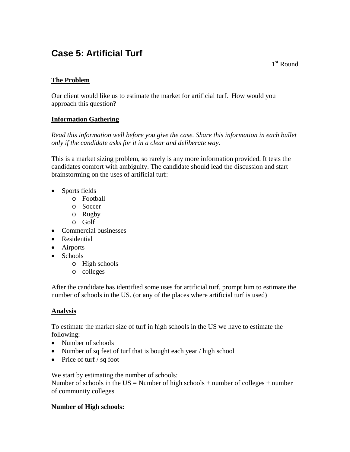## **Case 5: Artificial Turf**

 $1<sup>st</sup>$  Round

## **The Problem**

Our client would like us to estimate the market for artificial turf. How would you approach this question?

### **Information Gathering**

*Read this information well before you give the case. Share this information in each bullet only if the candidate asks for it in a clear and deliberate way.* 

This is a market sizing problem, so rarely is any more information provided. It tests the candidates comfort with ambiguity. The candidate should lead the discussion and start brainstorming on the uses of artificial turf:

- Sports fields
	- o Football
	- o Soccer
	- o Rugby
	- o Golf
- Commercial businesses
- Residential
- Airports
- Schools
	- o High schools
	- o colleges

After the candidate has identified some uses for artificial turf, prompt him to estimate the number of schools in the US. (or any of the places where artificial turf is used)

### **Analysis**

To estimate the market size of turf in high schools in the US we have to estimate the following:

- Number of schools
- Number of sq feet of turf that is bought each year / high school
- Price of turf  $\frac{1}{s}$  sq foot

We start by estimating the number of schools: Number of schools in the  $US =$  Number of high schools + number of colleges + number of community colleges

### **Number of High schools:**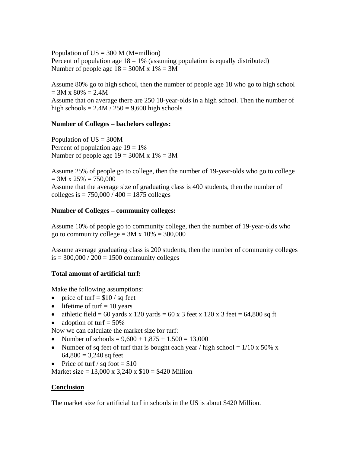Population of  $US = 300$  M (M=million) Percent of population age  $18 = 1%$  (assuming population is equally distributed) Number of people age  $18 = 300M \times 1\% = 3M$ 

Assume 80% go to high school, then the number of people age 18 who go to high school  $= 3M \times 80\% = 2.4M$ 

Assume that on average there are 250 18-year-olds in a high school. Then the number of high schools  $= 2.4M / 250 = 9{,}600$  high schools

#### **Number of Colleges – bachelors colleges:**

Population of  $US = 300M$ Percent of population age  $19 = 1\%$ Number of people age  $19 = 300M x 1% = 3M$ 

Assume 25% of people go to college, then the number of 19-year-olds who go to college  $= 3M x 25\% = 750,000$ Assume that the average size of graduating class is 400 students, then the number of colleges is =  $750,000 / 400 = 1875$  colleges

#### **Number of Colleges – community colleges:**

Assume 10% of people go to community college, then the number of 19-year-olds who go to community college =  $3M \times 10\% = 300,000$ 

Assume average graduating class is 200 students, then the number of community colleges  $is = 300,000 / 200 = 1500$  community colleges

#### **Total amount of artificial turf:**

Make the following assumptions:

- price of turf  $=$  \$10 / sq feet
- lifetime of turf  $= 10$  years
- athletic field = 60 yards x 120 yards = 60 x 3 feet x 120 x 3 feet = 64,800 sq ft
- adoption of turf  $= 50\%$

Now we can calculate the market size for turf:

- Number of schools =  $9,600 + 1,875 + 1,500 = 13,000$
- Number of sq feet of turf that is bought each year / high school =  $1/10 \times 50\%$  x  $64,800 = 3,240$  sq feet
- Price of turf / sq foot  $= $10$

Market size = 13,000 x 3,240 x  $$10 = $420$  Million

#### **Conclusion**

The market size for artificial turf in schools in the US is about \$420 Million.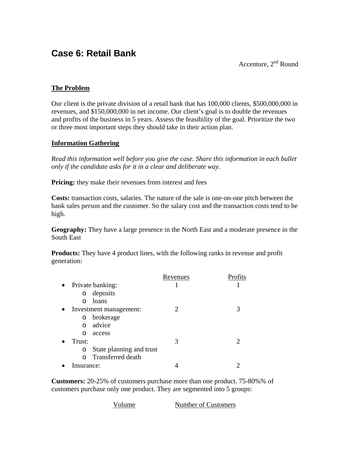## **Case 6: Retail Bank**

Accenture, 2nd Round

### **The Problem**

Our client is the private division of a retail bank that has 100,000 clients, \$500,000,000 in revenues, and \$150,000,000 in net income. Our client's goal is to double the revenues and profits of the business in 5 years. Assess the feasibility of the goal. Prioritize the two or three most important steps they should take in their action plan.

### **Information Gathering**

*Read this information well before you give the case. Share this information in each bullet only if the candidate asks for it in a clear and deliberate way.* 

**Pricing:** they make their revenues from interest and fees

**Costs:** transaction costs, salaries. The nature of the sale is one-on-one pitch between the bank sales person and the customer. So the salary cost and the transaction costs tend to be high.

**Geography:** They have a large presence in the North East and a moderate presence in the South East

**Products:** They have 4 product lines, with the following ranks in revenue and profit generation:

|                                      | Revenues |  |
|--------------------------------------|----------|--|
| • Private banking:                   |          |  |
| deposits<br>O                        |          |  |
| loans<br>$\cap$                      |          |  |
| Investment management:<br>$\bullet$  |          |  |
| brokerage<br>O                       |          |  |
| advice<br>$\Omega$                   |          |  |
| access<br>∩                          |          |  |
| Trust:                               | 3        |  |
| State planning and trust<br>O        |          |  |
| <b>Transferred</b> death<br>$\Omega$ |          |  |
| Insurance:                           |          |  |

**Customers:** 20-25% of customers purchase more than one product. 75-80%% of customers purchase only one product. They are segmented into 5 groups:

| Volume | Number of Customers |
|--------|---------------------|
|        |                     |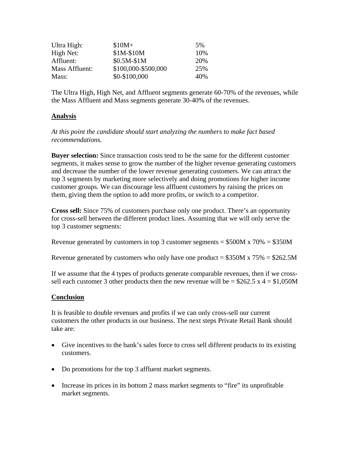| Ultra High:    | $$10M+$             | .5% |
|----------------|---------------------|-----|
| High Net:      | \$1M-\$10M          | 10% |
| Affluent:      | $$0.5M-S1M$         | 20% |
| Mass Affluent: | \$100,000-\$500,000 | 25% |
| Mass:          | \$0-\$100,000       | 40% |

The Ultra High, High Net, and Affluent segments generate 60-70% of the revenues, while the Mass Affluent and Mass segments generate 30-40% of the revenues.

### **Analysis**

*At this point the candidate should start analyzing the numbers to make fact based recommendations.* 

**Buyer selection:** Since transaction costs tend to be the same for the different customer segments, it makes sense to grow the number of the higher revenue generating customers and decrease the number of the lower revenue generating customers. We can attract the top 3 segments by marketing more selectively and doing promotions for higher income customer groups. We can discourage less affluent customers by raising the prices on them, giving them the option to add more profits, or switch to a competitor.

**Cross sell:** Since 75% of customers purchase only one product. There's an opportunity for cross-sell between the different product lines. Assuming that we will only serve the top 3 customer segments:

Revenue generated by customers in top 3 customer segments  $= $500M \times 70\% = $350M$ 

Revenue generated by customers who only have one product =  $$350M \times 75\% = $262.5M$ 

If we assume that the 4 types of products generate comparable revenues, then if we crosssell each customer 3 other products then the new revenue will be =  $$262.5 \times 4 = $1,050M$ 

### **Conclusion**

It is feasible to double revenues and profits if we can only cross-sell our current customers the other products in our business. The next steps Private Retail Bank should take are:

- Give incentives to the bank's sales force to cross sell different products to its existing customers.
- Do promotions for the top 3 affluent market segments.
- Increase its prices in its bottom 2 mass market segments to "fire" its unprofitable market segments.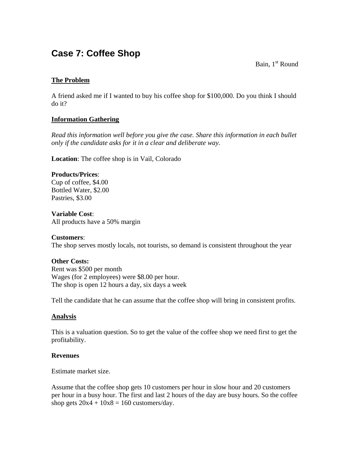## **Case 7: Coffee Shop**

Bain,  $1<sup>st</sup>$  Round

### **The Problem**

A friend asked me if I wanted to buy his coffee shop for \$100,000. Do you think I should do it?

### **Information Gathering**

*Read this information well before you give the case. Share this information in each bullet only if the candidate asks for it in a clear and deliberate way.* 

**Location**: The coffee shop is in Vail, Colorado

#### **Products/Prices**:

Cup of coffee, \$4.00 Bottled Water, \$2.00 Pastries, \$3.00

#### **Variable Cost**:

All products have a 50% margin

#### **Customers**:

The shop serves mostly locals, not tourists, so demand is consistent throughout the year

### **Other Costs:**

Rent was \$500 per month Wages (for 2 employees) were \$8.00 per hour. The shop is open 12 hours a day, six days a week

Tell the candidate that he can assume that the coffee shop will bring in consistent profits.

#### **Analysis**

This is a valuation question. So to get the value of the coffee shop we need first to get the profitability.

#### **Revenues**

Estimate market size.

Assume that the coffee shop gets 10 customers per hour in slow hour and 20 customers per hour in a busy hour. The first and last 2 hours of the day are busy hours. So the coffee shop gets  $20x4 + 10x8 = 160$  customers/day.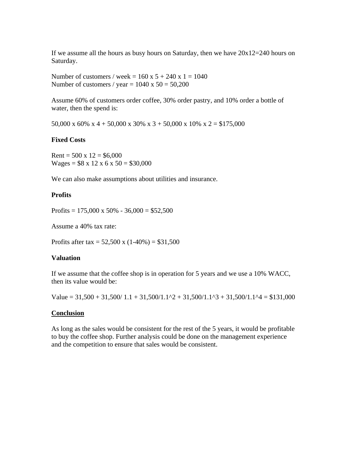If we assume all the hours as busy hours on Saturday, then we have  $20x12=240$  hours on Saturday.

Number of customers / week =  $160 \times 5 + 240 \times 1 = 1040$ Number of customers / year =  $1040 \times 50 = 50,200$ 

Assume 60% of customers order coffee, 30% order pastry, and 10% order a bottle of water, then the spend is:

50,000 x 60% x 4 + 50,000 x 30% x 3 + 50,000 x 10% x 2 = \$175,000

#### **Fixed Costs**

Rent =  $500 \times 12 = $6,000$  $Wages = $8 \times 12 \times 6 \times 50 = $30,000$ 

We can also make assumptions about utilities and insurance.

#### **Profits**

Profits =  $175,000 \times 50\%$  -  $36,000 = $52,500$ 

Assume a 40% tax rate:

Profits after tax =  $52,500 \text{ x } (1-40\%) = $31,500$ 

#### **Valuation**

If we assume that the coffee shop is in operation for 5 years and we use a 10% WACC, then its value would be:

Value =  $31,500 + 31,500/1.1 + 31,500/1.1^2 + 31,500/1.1^3 + 31,500/1.1^4 = $131,000$ 

#### **Conclusion**

As long as the sales would be consistent for the rest of the 5 years, it would be profitable to buy the coffee shop. Further analysis could be done on the management experience and the competition to ensure that sales would be consistent.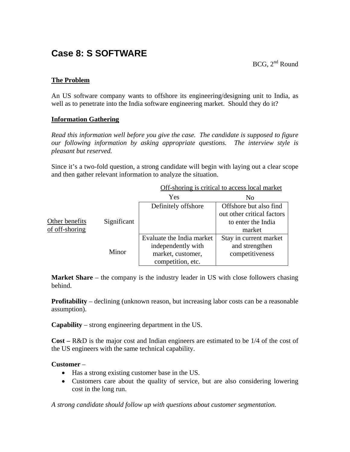## **Case 8: S SOFTWARE**

### **The Problem**

An US software company wants to offshore its engineering/designing unit to India, as well as to penetrate into the India software engineering market. Should they do it?

### **Information Gathering**

*Read this information well before you give the case. The candidate is supposed to figure our following information by asking appropriate questions. The interview style is pleasant but reserved.* 

Since it's a two-fold question, a strong candidate will begin with laying out a clear scope and then gather relevant information to analyze the situation.

|                |             | Yes                       | N <sub>0</sub>             |
|----------------|-------------|---------------------------|----------------------------|
|                |             | Definitely offshore       | Offshore but also find     |
|                |             |                           | out other critical factors |
| Other benefits | Significant |                           | to enter the India         |
| of off-shoring |             |                           | market                     |
|                |             | Evaluate the India market | Stay in current market     |
|                |             | independently with        | and strengthen             |
|                | Minor       | market, customer,         | competitiveness            |
|                |             | competition, etc.         |                            |

Off-shoring is critical to access local market

**Market Share** – the company is the industry leader in US with close followers chasing behind.

**Profitability** – declining (unknown reason, but increasing labor costs can be a reasonable assumption).

**Capability** – strong engineering department in the US.

**Cost –** R&D is the major cost and Indian engineers are estimated to be 1/4 of the cost of the US engineers with the same technical capability.

### **Customer** –

- Has a strong existing customer base in the US.
- Customers care about the quality of service, but are also considering lowering cost in the long run.

*A strong candidate should follow up with questions about customer segmentation.*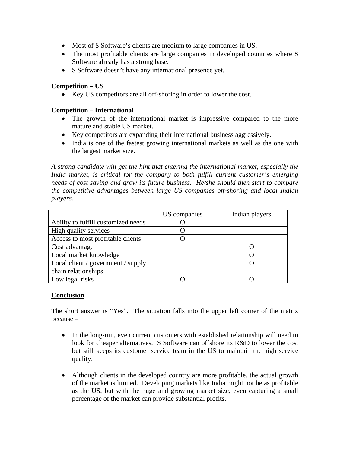- Most of S Software's clients are medium to large companies in US.
- The most profitable clients are large companies in developed countries where S Software already has a strong base.
- S Software doesn't have any international presence yet.

#### **Competition – US**

• Key US competitors are all off-shoring in order to lower the cost.

#### **Competition – International**

- The growth of the international market is impressive compared to the more mature and stable US market.
- Key competitors are expanding their international business aggressively.
- India is one of the fastest growing international markets as well as the one with the largest market size.

*A strong candidate will get the hint that entering the international market, especially the India market, is critical for the company to both fulfill current customer's emerging needs of cost saving and grow its future business. He/she should then start to compare the competitive advantages between large US companies off-shoring and local Indian players.* 

|                                     | US companies | Indian players |
|-------------------------------------|--------------|----------------|
| Ability to fulfill customized needs |              |                |
| High quality services               |              |                |
| Access to most profitable clients   |              |                |
| Cost advantage                      |              |                |
| Local market knowledge              |              |                |
| Local client / government / supply  |              |                |
| chain relationships                 |              |                |
| Low legal risks                     |              |                |

#### **Conclusion**

The short answer is "Yes". The situation falls into the upper left corner of the matrix because –

- In the long-run, even current customers with established relationship will need to look for cheaper alternatives. S Software can offshore its R&D to lower the cost but still keeps its customer service team in the US to maintain the high service quality.
- Although clients in the developed country are more profitable, the actual growth of the market is limited. Developing markets like India might not be as profitable as the US, but with the huge and growing market size, even capturing a small percentage of the market can provide substantial profits.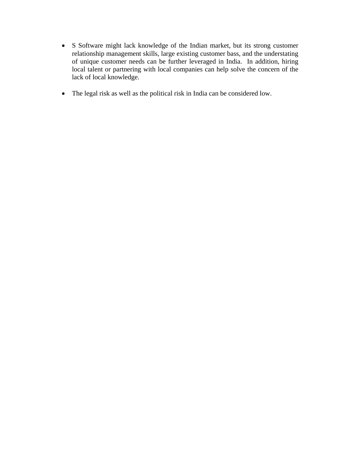- S Software might lack knowledge of the Indian market, but its strong customer relationship management skills, large existing customer bass, and the understating of unique customer needs can be further leveraged in India. In addition, hiring local talent or partnering with local companies can help solve the concern of the lack of local knowledge.
- The legal risk as well as the political risk in India can be considered low.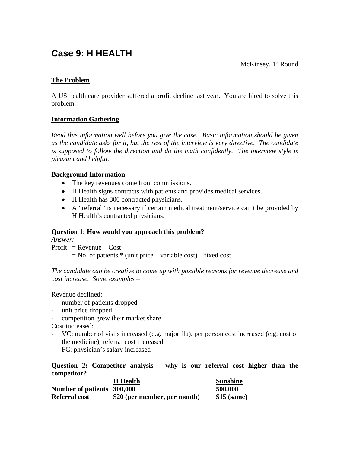## **Case 9: H HEALTH**

McKinsey,  $1<sup>st</sup>$  Round

### **The Problem**

A US health care provider suffered a profit decline last year. You are hired to solve this problem.

### **Information Gathering**

*Read this information well before you give the case. Basic information should be given as the candidate asks for it, but the rest of the interview is very directive. The candidate is supposed to follow the direction and do the math confidently. The interview style is pleasant and helpful.* 

### **Background Information**

- The key revenues come from commissions.
- H Health signs contracts with patients and provides medical services.
- H Health has 300 contracted physicians.
- A "referral" is necessary if certain medical treatment/service can't be provided by H Health's contracted physicians.

### **Question 1: How would you approach this problem?**

*Answer:* 

 $Profit = Revenue - Cost$  $=$  No. of patients  $*$  (unit price – variable cost) – fixed cost

*The candidate can be creative to come up with possible reasons for revenue decrease and cost increase. Some examples –* 

Revenue declined:

- number of patients dropped
- unit price dropped
- competition grew their market share

Cost increased:

- VC: number of visits increased (e.g. major flu), per person cost increased (e.g. cost of the medicine), referral cost increased
- FC: physician's salary increased

**Question 2: Competitor analysis – why is our referral cost higher than the competitor?** 

|                            | <b>H</b> Health              | <b>Sunshine</b> |
|----------------------------|------------------------------|-----------------|
| Number of patients 300,000 |                              | 500,000         |
| <b>Referral cost</b>       | \$20 (per member, per month) | $$15$ (same)    |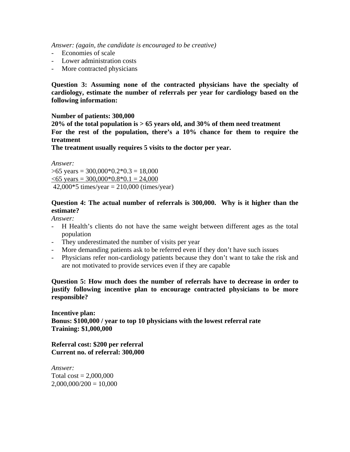*Answer: (again, the candidate is encouraged to be creative)* 

- Economies of scale
- Lower administration costs
- More contracted physicians

**Question 3: Assuming none of the contracted physicians have the specialty of cardiology, estimate the number of referrals per year for cardiology based on the following information:** 

#### **Number of patients: 300,000**

**20% of the total population is > 65 years old, and 30% of them need treatment For the rest of the population, there's a 10% chance for them to require the treatment** 

**The treatment usually requires 5 visits to the doctor per year.** 

*Answer:*   $>65$  years = 300,000 $*0.2*0.3 = 18,000$  $< 65$  years = 300,000 $*$ 0.8 $*$ 0.1 = 24,000 42,000 $*5$  times/year = 210,000 (times/year)

#### **Question 4: The actual number of referrals is 300,000. Why is it higher than the estimate?**

*Answer:* 

- H Health's clients do not have the same weight between different ages as the total population
- They underestimated the number of visits per year
- More demanding patients ask to be referred even if they don't have such issues
- Physicians refer non-cardiology patients because they don't want to take the risk and are not motivated to provide services even if they are capable

**Question 5: How much does the number of referrals have to decrease in order to justify following incentive plan to encourage contracted physicians to be more responsible?** 

**Incentive plan: Bonus: \$100,000 / year to top 10 physicians with the lowest referral rate Training: \$1,000,000** 

**Referral cost: \$200 per referral Current no. of referral: 300,000** 

*Answer:*  Total  $cost = 2,000,000$  $2,000,000/200 = 10,000$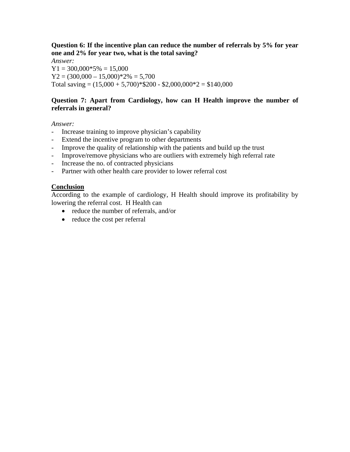**Question 6: If the incentive plan can reduce the number of referrals by 5% for year one and 2% for year two, what is the total saving?** 

*Answer:*   $Y1 = 300,000*5% = 15,000$  $Y2 = (300,000 - 15,000) \times 2\% = 5,700$ Total saving =  $(15,000 + 5,700)$  \* \$200 - \$2,000,000 \* 2 = \$140,000

#### **Question 7: Apart from Cardiology, how can H Health improve the number of referrals in general?**

*Answer:* 

- Increase training to improve physician's capability
- Extend the incentive program to other departments
- Improve the quality of relationship with the patients and build up the trust
- Improve/remove physicians who are outliers with extremely high referral rate
- Increase the no. of contracted physicians
- Partner with other health care provider to lower referral cost

### **Conclusion**

According to the example of cardiology, H Health should improve its profitability by lowering the referral cost. H Health can

- reduce the number of referrals, and/or
- reduce the cost per referral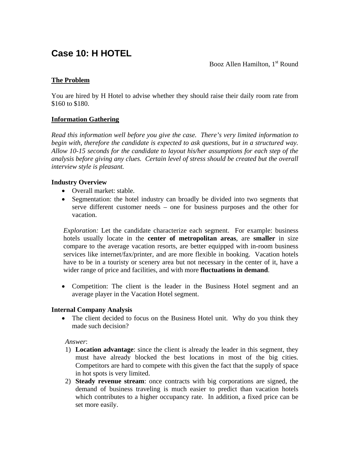## **Case 10: H HOTEL**

Booz Allen Hamilton,  $1<sup>st</sup>$  Round

### **The Problem**

You are hired by H Hotel to advise whether they should raise their daily room rate from \$160 to \$180.

#### **Information Gathering**

*Read this information well before you give the case. There's very limited information to begin with, therefore the candidate is expected to ask questions, but in a structured way. Allow 10-15 seconds for the candidate to layout his/her assumptions for each step of the analysis before giving any clues. Certain level of stress should be created but the overall interview style is pleasant.* 

#### **Industry Overview**

- Overall market: stable.
- Segmentation: the hotel industry can broadly be divided into two segments that serve different customer needs – one for business purposes and the other for vacation.

*Exploration:* Let the candidate characterize each segment. For example: business hotels usually locate in the **center of metropolitan areas**, are **smaller** in size compare to the average vacation resorts, are better equipped with in-room business services like internet/fax/printer, and are more flexible in booking. Vacation hotels have to be in a touristy or scenery area but not necessary in the center of it, have a wider range of price and facilities, and with more **fluctuations in demand**.

• Competition: The client is the leader in the Business Hotel segment and an average player in the Vacation Hotel segment.

#### **Internal Company Analysis**

• The client decided to focus on the Business Hotel unit. Why do you think they made such decision?

*Answer*:

- 1) **Location advantage**: since the client is already the leader in this segment, they must have already blocked the best locations in most of the big cities. Competitors are hard to compete with this given the fact that the supply of space in hot spots is very limited.
- 2) **Steady revenue stream**: once contracts with big corporations are signed, the demand of business traveling is much easier to predict than vacation hotels which contributes to a higher occupancy rate. In addition, a fixed price can be set more easily.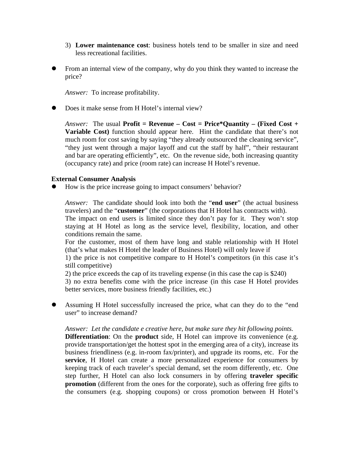- 3) **Lower maintenance cost**: business hotels tend to be smaller in size and need less recreational facilities.
- From an internal view of the company, why do you think they wanted to increase the price?

*Answer:* To increase profitability.

Does it make sense from H Hotel's internal view?

*Answer:* The usual **Profit = Revenue – Cost = Price\*Quantity – (Fixed Cost + Variable Cost)** function should appear here. Hint the candidate that there's not much room for cost saving by saying "they already outsourced the cleaning service", "they just went through a major layoff and cut the staff by half", "their restaurant and bar are operating efficiently", etc. On the revenue side, both increasing quantity (occupancy rate) and price (room rate) can increase H Hotel's revenue.

#### **External Consumer Analysis**

How is the price increase going to impact consumers' behavior?

*Answer:* The candidate should look into both the "**end user**" (the actual business travelers) and the "**customer**" (the corporations that H Hotel has contracts with). The impact on end users is limited since they don't pay for it. They won't stop

staying at H Hotel as long as the service level, flexibility, location, and other conditions remain the same.

For the customer, most of them have long and stable relationship with H Hotel (that's what makes H Hotel the leader of Business Hotel) will only leave if

1) the price is not competitive compare to H Hotel's competitors (in this case it's still competitive)

2) the price exceeds the cap of its traveling expense (in this case the cap is \$240)

3) no extra benefits come with the price increase (in this case H Hotel provides better services, more business friendly facilities, etc.)

Assuming H Hotel successfully increased the price, what can they do to the "end" user" to increase demand?

*Answer: Let the candidate e creative here, but make sure they hit following points.* 

**Differentiation**: On the **product** side, H Hotel can improve its convenience (e.g. provide transportation/get the hottest spot in the emerging area of a city), increase its business friendliness (e.g. in-room fax/printer), and upgrade its rooms, etc. For the **service**, H Hotel can create a more personalized experience for consumers by keeping track of each traveler's special demand, set the room differently, etc. One step further, H Hotel can also lock consumers in by offering **traveler specific promotion** (different from the ones for the corporate), such as offering free gifts to the consumers (e.g. shopping coupons) or cross promotion between H Hotel's